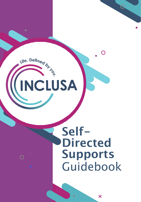# Life. Defined by NCLUSA

 $\bigcap$ 

# Self-**Directed** Supports Guidebook

X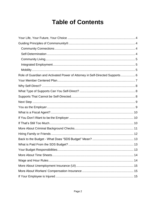# **Table of Contents**

| Role of Guardian and Activated Power of Attorney in Self-Directed Supports 6 |
|------------------------------------------------------------------------------|
|                                                                              |
|                                                                              |
|                                                                              |
|                                                                              |
|                                                                              |
|                                                                              |
|                                                                              |
|                                                                              |
|                                                                              |
|                                                                              |
|                                                                              |
|                                                                              |
|                                                                              |
|                                                                              |
|                                                                              |
|                                                                              |
|                                                                              |
|                                                                              |
|                                                                              |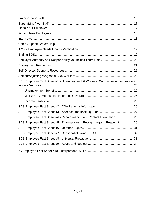| SDS Employee Fact Sheet #1 - Unemployment & Workers' Compensation Insurance & |  |
|-------------------------------------------------------------------------------|--|
|                                                                               |  |
|                                                                               |  |
|                                                                               |  |
|                                                                               |  |
|                                                                               |  |
| SDS Employee Fact Sheet #4 - Recordkeeping and Contact Information  28        |  |
| SDS Employee Fact Sheet #5 - Emergencies - Recognizing and Responding 29      |  |
|                                                                               |  |
|                                                                               |  |
|                                                                               |  |
|                                                                               |  |
|                                                                               |  |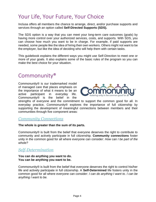# <span id="page-3-0"></span>Your Life, Your Future, Your Choice

Inclusa offers all members the chance to arrange, direct, and/or purchase supports and services through an option called **Self-Directed Supports (SDS).**

The SDS option is a way that you can meet your long-term care outcomes (goals) by having more control over your authorized services, costs, and supports. With SDS, you can choose how much you want to be in charge. For example, if paid supports are needed, some people like the idea of hiring their own workers. Others might not want to be the employer, but like the idea of deciding who will help them with certain tasks.

This guidebook explains the different ways you might use Self-Direction to meet one or more of your goals. It also explains some of the basic rules of the program so you can make the best choice for your situation.

### <span id="page-3-1"></span>Commonunity®

Commonunity® is our trademarked model of managed care that places emphasis on the importance of what it means to be an active participant in everyday life. Commonunity® is the belief in the

<span id="page-3-4"></span>

strengths of everyone and the commitment to support the common good for all. In everyday practice, Commonunity® explores the importance of full citizenship by supporting the development of meaningful connections between members and their communities through five component areas:

#### <span id="page-3-2"></span>*Community Connections*

#### **The whole is greater than the sum of its parts.**

Commonunity® is built from the belief that everyone deserves the right to contribute to community and actively participate in full citizenship. **Community connections** foster unity in the common good for all where everyone can consider: *How can I be part of the whole?*

#### <span id="page-3-3"></span>*Self-Determination*

#### **You can do anything you want to do. You can be anything you want to be.**

Commonunity® is built from the belief that everyone deserves the right to control his/her life and actively participate in full citizenship. A **Self-Determined** life fosters unity in the common good for all where everyone can consider: *I can do anything I want to. I can be anything I want to be.*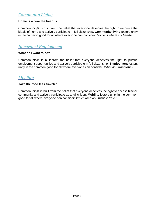#### *Community Living*

#### **Home is where the heart is.**

Commonunity® is built from the belief that everyone deserves the right to embrace the ideals of home and actively participate in full citizenship. **Community living** fosters unity in the common good for all where everyone can consider: *Home is where my heartis.*

#### <span id="page-4-0"></span>*Integrated Employment*

#### **What do I want to be?**

Commonunity® is built from the belief that everyone deserves the right to pursue employment opportunities and actively participate in full citizenship. **Employment** fosters unity in the common good for all where everyone can consider: *What do I want tobe?*

#### <span id="page-4-1"></span>*Mobility*

#### **Take the road less traveled.**

Commonunity® is built from the belief that everyone deserves the right to access his/her community and actively participate as a full citizen. **Mobility** fosters unity in the common good for all where everyone can consider: *Which road do I want to travel?*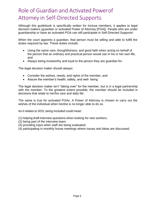# <span id="page-5-0"></span>Role of Guardian and Activated Powerof Attorney in Self-Directed Supports

Although this guidebook is specifically written for Inclusa members, it applies to legal decision makers (guardian or activated Power of Attorney [POA]). People who are under guardianship or have an activated POA can still participate in Self-Directed Supports!

When the court appoints a guardian, that person must be willing and able to fulfill the duties required by law. These duties include:

- Using the same care, thoughtfulness, and good faith when acting on behalf of the person that an ordinary and practical person would use in his or her own life, and
- Always being trustworthy and loyal to the person they are guardian for.

The legal decision maker should always:

- Consider the wishes, needs, and rights of the member, and
- Assure the member's health, safety, and well- being.

The legal decision maker isn't "taking over" for the member, but is in a legal partnership with the member. To the greatest extent possible, the member should *be included* in decisions that relate to her/his care and daily life.

The same is true for activated POAs. A Power of Attorney is chosen to carry out the wishes of the individual when he/she is no longer able to do so.

As it relates to SDS, *being included* could mean:

(1) helping draft interview questions when looking for new workers;

- (2) being part of the interview team;
- (3) providing input when staff are being evaluated;
- (4) participating in monthly house meetings where issues and ideas are discussed.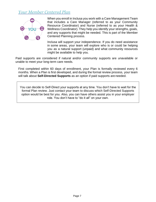#### <span id="page-6-0"></span>*Your Member Centered Plan*



When you enroll in Inclusa you work with a Care Management Team that includes a Care Manager (referred to as your Community Resource Coordinator) and Nurse (referred to as your Health & Wellness Coordinator). They help you identify your strengths, goals, and any supports that might be needed. This is part of the Member Centered Planning process.

Inclusa will support your independence. If you do need assistance in some areas, your team will explore who is or could be helping you as a natural support (unpaid) and what community resources might be available to help you.

Paid supports are considered if natural and/or community supports are unavailable or unable to meet your long-term care needs.

First completed within 60 days of enrollment, your Plan is formally reviewed every 6 months. When a Plan is first developed, and during the formal review process, your team will talk about **Self-Directed Supports** as an option if paid supports are needed.

You can decide to Self-Direct your supports at any time. You don't have to wait for the formal Plan review. Just contact your team to discuss which Self-Directed Supports option would be best for you. Also, you can have others assist you in your employer role. You don't have to "do it all" on your own.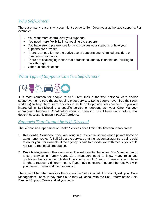#### <span id="page-7-0"></span>*Why Self-Direct?*

There are many reasons why you might decide to Self-Direct your authorized supports. For example:

- You want more control over your supports.
- You need more flexibility in scheduling the supports.
- You have strong preferences for who provides your supports or how your supports are provided.
- There is a need for more creative use of supports due to limited providers or community resources.
- There are challenging issues that a traditional agency is unable or unwilling to work through.
- Other unique situations.

#### <span id="page-7-1"></span>*What Type of Supports Can You Self-Direct?*



It is most common for people to Self-Direct their authorized personal care and/or supportive home care (housekeeping type) services. Some people have hired their own worker(s) to help them learn daily living skills or to provide job coaching. If you are interested in Self-Directing a specific service or support, ask your Care Manager (Community Resource Coordinator) about it. Even if it hasn't been done before, that doesn't necessarily mean it *couldn't* bedone.

#### <span id="page-7-2"></span>*Supports That Cannot be Self-Directed*

The Wisconsin Department of Health Services does limit Self-Direction in two areas:

- <span id="page-7-3"></span>1. **Residential Services:** If you are living in a residential setting (not a private home or apartment), you can't Self-Direct the services that the residential agency is being paid to do for you. For example, if the agency is paid to provide you with meals, you could not Self-Direct meal preparation.
- 2. **Case Management:** This service can't be self-directed because Care Management is a core service in Family Care. Care Managers need to know many rules and guidelines that someone outside of the agency wouldn't know. However, you do have a right to request a different Team, if you have concerns that can't be resolved with your current Team and their supervisor.

There might be other services that cannot be Self-Directed. If in doubt, ask your Care Management Team. If they aren't sure they will check with the Self Determination/Self-Directed Support Team and let you know.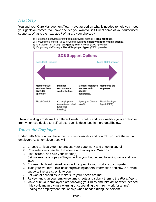#### *Next Step*

You and your Care Management Team have agreed on what is needed to help you meet your goals/outcomes. You have decided you want to Self-Direct some of your authorized supports. What is the next step? What are your choices?

- 1) Purchasing services or staff from a provider agency (Fiscal Conduit).
- 2) Recommending staff to be hired through a co-employment or leasing agency.
- 3) Managed staff through an Agency With Choice (AWC) provider
- 4) Employing staff using a Fiscal/Employer Agent (F/EA) provider.



The above diagram shows the different levels of control and responsibility you can choose from when you decide to Self-Direct. Each is described in more detail below.

#### <span id="page-8-0"></span>*You as the Employer*

Under Self-Direction, you have the most responsibility and control if you are the actual employer. As an employer, you will:

- 1. Choose a Fiscal Agent to process your paperwork and ongoing payroll.
- 2. Complete forms needed to become an Employer in Wisconsin.
- 3. Find, screen, and hire your worker(s).
- 4. Set workers' rate of pay Staying within your budget and following wage and hour laws.
- 5. Choose which authorized tasks will be given to your workers to complete.
- 6. Train your workers this includes providing general information and how to provide supports that are specific to you.
- 7. Set worker schedules to make sure your needs are met.
- 8. Review and sign your employee time sheets and submit them to the *FiscalAgent*.
- 9. Make sure your employees are following your rules and take action when needed (this could mean giving a warning or suspending them from work for a time).
- <span id="page-8-1"></span>10. Ending the employment relationship when needed (firing the person).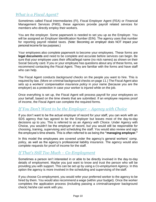#### *What is a Fiscal Agent?*

Sometimes called Fiscal Intermediaries (FI), Fiscal Employer Agent (FEA) or Financial Management Services (FMS), these agencies provide payroll related services for members who directly employ their workers.

You are the employer. Some paperwork is needed to set you up as the Employer. You will be assigned an Employer Identification Number (EIN). The agency uses that number for reporting payroll related taxes. (Note: Becoming an employer does NOT impact your personal income for tax purposes.)

Your employees also complete paperwork to become your employees. These forms are **legal documents** and need to be complete and accurate before services can begin. Be sure that your employee uses their official/legal name (no nick names) as shown on their Social Security card. If you or your employee has questions about any of these forms, we recommend contacting the Fiscal Agent. They are familiar with the forms and have staff who can help.

The Fiscal Agent conducts *background checks* on the people you want to hire. This is required by law. (More on criminal background checks on page 11.) The Fiscal Agent also sets up a *workers' compensation insurance policy* in your name (because you are the employer) as a protection in case your worker is injured while on the job.

Once everything is set up, the Fiscal Agent will process payroll for your employees on your behalf, based on the time sheets that are submitted. If an employee requires proof of income, the Fiscal Agent can complete the required forms.

#### <span id="page-9-0"></span>*If You Don't Want to be the Employer – Agency with Choice*

If you don't want to be the actual employer of record for your staff, you can work with an SDS agency that has agreed to be the Employer but leaves most of the day-to-day decisions up to you. This is referred to as an *Agency with Choice*. Under Agency with Choice, you wouldn't be the employer of record, but you would still be responsible for choosing, training, supervising and scheduling the staff. You would also review and sign the employee's time sheets. This is often referred to as being the **"managing employer."**

<span id="page-9-1"></span>In this model the employees are covered under the agency's general workers' comp. policy, as well as the agency's professional liability insurance. The agency would also complete requests for proof of income for the staff.

#### *If That's Still Too Much – Co-Employment*

Sometimes a person isn't interested in or able to be directly involved in the day-to-day details of employment. Maybe you just want to know and trust the person who will be providing you with support. This can be set up by using a *Co-employment Agency*. In this option the agency is more involved in the scheduling and supervising of the staff.

If you choose Co-employment, you would refer your preferred worker to the agency to be hired by them. You would also recommend a wage (within your budget). Once the worker completes the application process (including passing a criminal/caregiver background check) he/she can work with you.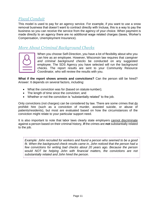#### <span id="page-10-0"></span>*Fiscal Conduit*

This model is used to pay for an agency service. For example, if you want to use a snow removal business that doesn't want to contract directly with Inclusa, this is a way to pay the business so you can receive the service from the agency of your choice. When payment is made directly to an agency there are no additional wage related charges (taxes, Worker's Compensation, Unemployment Insurance).

#### *More About Criminal Background Checks*



When you choose Self-Direction, you have a lot of flexibility about who you can hire as an employee. However, Wisconsin law requires that *caregiver and criminal background checks* be conducted on any suggested employee. The SDS Agency you have selected will run the background checks. The report results are sent to your Community Resource Coordinator, who will review the results with you.

**What if the report shows arrests and convictions?** Can the person still be hired? Answer: It depends on several factors, including:

- What the conviction was for (based on statute number);
- The length of time since the conviction; and
- Whether or not the conviction is "substantially related" to the job.

Only convictions (not charges) can be considered by law. There are some crimes that do prohibit hire (such as a conviction of murder, assisted suicide, or abuse of patients/residents), but most are evaluated based on how the circumstances of the conviction might relate to your particular support need.

It is also important to note that labor laws clearly state employers cannot discriminate against a person based on their criminal history, **if** the crimes are **not** substantially related to the job.

*Example: John recruited for workers and found a person who seemed to be a good fit. When the background check results came in, John noticed that the person had a few convictions for writing bad checks about 20 years ago. Because the person*  would NOT be helping John with financial matters, the convictions are not *substantially related and John hired the person.* \_\_\_\_\_\_\_\_\_\_\_\_\_\_\_\_\_\_\_\_\_\_\_\_\_\_\_\_\_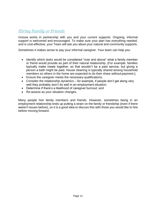#### <span id="page-11-0"></span>*Hiring Family or Friends*

Inclusa works *in partnership* with you and your current supports. Ongoing, informal support is welcomed and encouraged. To make sure your plan has everything needed, and is cost-effective, your Team will ask you about your natural and community supports.

Sometimes it makes sense to pay your informal caregiver. Your team can help you:

- Identify which tasks would be considered "over and above" what a family member or friend would provide as part of their natural relationship. (For example, families typically make meals together, so that wouldn't be a paid service, but giving a person a bath might be paid. House cleaning is typically shared among household members so others in the home are expected to do their share without payment.);
- Ensure the caregiver meets the necessary qualifications;
- Consider the relationship dynamics for example, if people don't get along very well they probably won't do well in an employment situation;
- Determine if there's a likelihood of caregiver burnout; and
- Re-assess as your situation changes.

Many people hire family members and friends. However, sometimes being in an employment relationship ends up putting a strain on the family or friendship (even if there weren't issues before), so it is a good idea to discuss this with those you would like to hire before moving forward.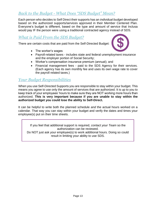#### <span id="page-12-0"></span>*Back to the Budget - What Does "SDS Budget" Mean?*

Each person who decides to Self Direct their supports has an *individual budget* developed based on the authorized supports/services approved in their Member Centered Plan. Everyone's budget is different, based on the type and amount of service that Inclusa would pay IF the person were using a traditional contracted agency instead of SDS.

#### <span id="page-12-1"></span>*What is Paid From the SDS Budget?*

There are certain costs that are paid from the Self-Directed Budget:

• The worker's wages



- Payroll-related taxes includes state and federal unemployment insurance and the employer portion of Social Security;
- Worker's compensation insurance premium (annual); and
- Financial management fees paid to the SDS Agency for their services. (Each agency has its own monthly fee and uses its own wage rate to cover the payroll related taxes.)

#### <span id="page-12-2"></span>*Your Budget Responsibilities*

When you use Self-Directed Supports you are responsible to stay within your budget. This means you agree to use only the amount of services that are authorized. It is up to you to keep track of your employees' hours to make sure they are NOT working more hours than authorized. **This is very important because if you are unable to stay within the authorized budget you could lose the ability to Self-Direct.**

It can be helpful to write both the planned schedule *and* the actual hours worked on a calendar. That way you can stay within your budget and verify the dates and times your employee(s) put on their time sheets.

If you feel that additional support is required, *contact your Team* so the authorization can be reviewed. Do NOT just ask your employee(s) to work additional hours. Doing so could result in limiting your ability to use SDS.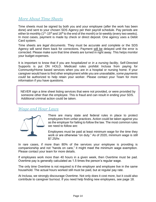#### <span id="page-13-0"></span>*More About Time Sheets*

Time sheets must be signed by both you and your employee (*after* the work has been done) and sent to your chosen SDS Agency per their payroll schedule. Pay periods are either bi-monthly (1<sup>st</sup>-15<sup>th</sup> and 16<sup>th</sup> to the end of the month) or bi-weekly (every two weeks). In most cases, payment is made by check or direct deposit. One agency uses a Debit Card system.

Time sheets are *legal documents*. They must be accurate and complete or the SDS Agency will send them back for corrections. Payment will be delayed until the error is corrected. Please make sure that time sheets are turned in right away. This helps monitor your budget expenses.

It is important to know that if you are *hospitalized* or *in a nursing facility*, Self-Directed Supports is put ON HOLD. Medicaid rules prohibit Inclusa from paying for Community/Home based services when you are in a hospital or nursing home. If your caregiver would have to find other employment while you are unavailable, *some payments could* be authorized to help retain your worker. Please contact your Team for more information if you have questions.

NEVER sign a time sheet listing services that were not provided, or were provided by someone other than the employee. This is fraud and can result in ending your SDS. Additional criminal action could be taken.

#### <span id="page-13-1"></span>*Wage and Hour Laws*



There are many state and federal rules in place to protect employees from unfair practices. Action could be taken against you as the employer for failing to follow the law. The most common rules we need to follow are:

Employees must be paid at least minimum wage for the time they work or are otherwise "on duty." As of 2020, minimum wage is still \$7.25/hr.

In rare cases, if more than 80% of the services your employee is providing is companionship and not "hands on care," it might meet the minimum wage exemption. Please contact your team for more details.

If employees work more than 40 hours in a given week, then Overtime must be pad. Overtime pay is generally calculated as 1.5 times the person's regular wage.

The only time Overtime is not required is if the employer and employee live in the same household. The actual hours worked still must be paid, but at regular pay rate.

At Inclusa, we strongly discourage Overtime. Not only does it cost more, but it could also contribute to caregiver burnout. If you need help finding new employees, see page 18.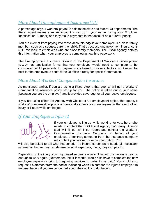#### *More About Unemployment Insurance (UI)*

A percentage of your workers' payroll is paid to the state and federal UI departments. The Fiscal Agent makes sure an account is set up in your name (using your Employer Identification Number) and they make payments to that account on a quarterly basis.

You are exempt from paying into these accounts *only* if your employee is a close family member, such as a spouse, parent, or child. That's because unemployment insurance is NOT available to employees who are close family members. The Fiscal Agency obtains this information when your employee is completing new hire paperwork.

The Unemployment Insurance Division of the Department of Workforce Development (DWD) has application forms that your employee would need to complete to be considered for UI payments. UI payments are based on several factors, so it would be best for the employee to contact the UI office directly for specific information.

#### <span id="page-14-0"></span>*More About Workers' Compensation Insurance*

As mentioned earlier, if you are using a Fiscal Agent, that agency will get a Workers' Compensation insurance policy set up for you. The policy is taken out in your name (because you are the employer) and it provides coverage for all your active employees.

If you are using either the Agency with Choice or Co-employment option, the agency's workers' compensation policy automatically covers your employees in the event of an injury or illness while on the job.

#### <span id="page-14-1"></span>*If Your Employee is Injured*

If your employee is injured while working for you, he or she needs to contact the SDS Fiscal Agency *right away*. Agency staff will fill out an initial report and contact the Workers' Compensation Insurance Company on behalf of your employee. After that, someone from the insurance company will contact your worker for more information. You

will also be asked to tell what happened. The insurance company needs all necessary information before they can determine what expenses, if any, they can pay for.

Depending on the injury, you might need someone else to fill in until the worker is healthy enough to work again. (Remember, the fill in worker would also have to complete the new employee paperwork prior to beginning services in order to be paid.) You could also request a statement from the doctor indicating when it's safe for the injured employee to resume the job, if you are concerned about their ability to do the job.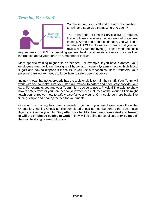#### <span id="page-15-0"></span>*Training Your Staff*



You have hired your staff and are now responsible to train and supervise them. Where to begin?

The Department of Health Services (DHS) requires that employees receive a certain amount of general training. At the end of this guidebook, you will find a number of SDS Employee Fact Sheets that you can review with your employee(s). These meet the basic

requirements of DHS by providing general health and safety information as well as information about your rights as a member of Inclusa.

More specific training might also be needed. For example, if you have diabetes, your employees need to know the signs of hypo- and hyper- glycaemia (low or high blood sugar) and how to respond if it occurs. If you use a mechanical lift for transfers, your personal care worker needs to know how to safely use that device.

Inclusa knows that not everybody has the tools or skills to train their staff. Your Team will work with you to make sure your staff are trained to safely and effectively provide your care. For example, you and your Team might decide to use a Physical Therapist to show how to safely transfer you from bed to your wheelchair. Nurses at the Wound Clinic might teach your caregiver how to safely care for your wound. Or it could be more basic, like finding simple and healthy recipes for your meals.

Once all the training has been completed, you and your employee sign off on the Orientation/Training Checklist. The completed checklist must be sent to the SDS Fiscal Agency to keep in your file. **Only after the checklist has been completed and turned in will the employee be able to work** (if they will be doing personal cares) **or be paid** (if they will be doing household tasks).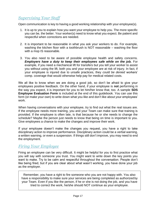#### <span id="page-16-0"></span>*Supervising Your Staff*

Open communication is key to having a good working relationship with your employee(s).

- 1. It is up to you to explain how you want your employee to help you. The more specific you can be, the better. Your worker(s) need to know what you expect. Be patient and respectful when corrections are needed.
- 2. It is important to be reasonable in what you ask your workers to do. For example, washing the kitchen floor with a toothbrush is NOT reasonable – washing the floor with a mop IS reasonable.
- 3. You also need to be aware of possible employee health and safety concerns. *Employers have a duty to keep their employees safe while on the job.* **For** example, if you need a mechanical lift for transfers but you tell your worker to assist you without using the lift, both you and your employee are at risk of injury. In fact, if your employee is injured due to unsafe practices, they *could be denied* workers' comp. coverage that would otherwise help pay for medical related costs.

We all like to know when we are doing a good job, so don't be afraid to give your employees positive feedback. On the other hand, if your employee is **not** performing in the way you expect, it is important for you to let him/her know that, too. A sample **SDS Employee Evaluation Form** is included at the end of this guidebook. You can use this form (or make your own) to write down what you like and don't like about your employees' work.

When having conversations with your employee, try to find out what the real issues are. If the employee needs more training, you and your Team can make sure that training is provided. If the employee is often late, is that because he or she needs to change the schedule? Maybe the person just needs to know that being on time is important to you. Give employees a chance to make the changes and improve their work.

<span id="page-16-1"></span>If your employee doesn't make the changes you request, you have a right to take disciplinary action to improve performance. Disciplinary action could be a verbal warning, a written warning, or even a suspension. If things still don't improve, you may need to end the employment.

#### *Firing Your Employee*

Firing an employee can be very difficult. It might be helpful for you to first practice what you will say with someone you trust. You might want to write down the key points you want to make. Try to be calm and respectful throughout the conversation. People don't like being fired, but if you are clear about what wasn't working, you have done your job as the employer.

Remember, you have a right to fire someone who you are not happy with. You also have a responsibility to make sure your services are being completed as authorized by your Team. Even if you like the person, if he or she is not doing the job, and you have tried to correct the work, he/she should NOT continue as your employee.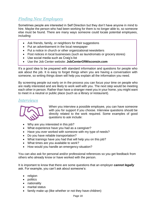#### <span id="page-17-0"></span>*Finding New Employees*

Sometimes people are interested in Self Direction but they don't have anyone in mind to hire. Maybe the person who had been working for them is no longer able to, so someone else must be found. There are many ways someone could locate potential employees, including:

- Ask friends, family, or neighbors for their suggestions
- Put an advertisement in the local newspaper
- Put a notice in church or other organizational newsletters
- Post notices in local businesses (such as laundromats or grocery stores)
- Use social media such as Craig's list
- Use the Job Center website: **JobCenterOfWisconsin.com**

It's a good idea to be prepared with standard information and questions for people who ask about the job. It is easy to forget things when you are having a conversation with someone, so writing things down will help you explain all the information you need.

By screening people out early on in the process you can focus your time on people who are really interested and are likely to work well with you. The next step would be meeting each other in person. Rather than have a stranger meet you in your home, you might want to meet in a neutral or public place (such as a library or restaurant).

#### <span id="page-17-1"></span>*Interviews*



When you interview a possible employee, you can have someone with you for support if you choose. Interview questions should be directly related to the work required. Some examples of good questions to ask include:

- Why are you interested in this job?
- What experience have you had as a caregiver?
- Have you ever worked with someone with my type of needs?
- Do you have reliable transportation?
- What trainings have you had that will help you on this job?
- What times are you available to work?
- How would you handle an emergency situation?

You can also ask for personal and/or professional references so you get feedback from others who already know or have worked with the person.

It is important to know that there are some questions that an employer *cannot legally* ask. For example, you can't ask about someone's:

- religion
- politics
- nationality
- marital status
- family make up (like whether or not they have children)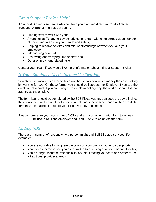#### <span id="page-18-0"></span>*Can a Support Broker Help?*

A Support Broker is someone who can help you plan and direct your Self-Directed Supports. A Broker might assist you in:

- Finding staff to work with you;
- Arranging staff's day-to-day schedules to remain within the agreed upon number of hours and to ensure your health and safety;
- Helping to resolve conflicts and misunderstandings between you and your employee;
- Interviewing new staff;
- Reviewing and verifying time sheets; and
- Other employment related tasks.

Contact your Team if you would like more information about hiring a Support Broker.

#### <span id="page-18-1"></span>*If Your Employee Needs Income Verification*

Sometimes a worker needs forms filled out that shows how much money they are making by working for you. On those forms, you should be listed as the Employer if you are the employer of record. If you are using a Co-employment agency, the worker should list that agency as the employer.

The form itself should be completed by the SDS Fiscal Agency that does the payroll (since they know the exact amount that's been paid during specific time periods). To do that, the form must be mailed or faxed to your Fiscal Agency to complete.

Please make sure your worker does NOT send an income verification form to Inclusa. Inclusa is NOT the employer and is NOT able to complete the form.

#### <span id="page-18-2"></span>*Ending SDS*

There are a number of reasons why a person might end Self-Directed services. For example:

- You are now able to complete the tasks on your own or with unpaid supports;
- Your needs increase and you are admitted to a nursing or other residential facility;
- You no longer want the responsibility of Self-Directing your care and prefer to use a traditional provider agency;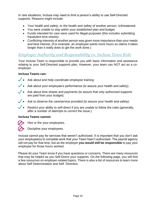In rare situations, Inclusa may need to limit a person's ability to use Self-Directed supports. Reasons might include:

- Your health and safety, or the health and safety of another person, isthreatened.
- You were unable to stay within your established plan and budget.
- Funds intended for care were used for illegal purposes (this includes submitting fraudulent time sheets).
- Conflicting interests of another person was given more importance than your needs and best interest. (For example, an employee wants more hours so claims it takes longer than it really does to get the work done.)

#### <span id="page-19-0"></span>*Employer Authority and Responsibility vs. Inclusa Team Role*

Your Inclusa Team is responsible to provide you with basic information and assistance relating to your Self-Directed supports plan. However, your team can NOT act as a coemployer.

#### **Inclusa Teams can:**

- Ask about and help coordinate employee training.
- Ask about your employee's performance (to assure your health and safety).
- Ask about time sheets and payments (to assure that only authorized supports are paid from your budget).
- Ask to observe the care/service provided (to assure your health and safety).
- Restrict your ability to self-direct if you are unable to follow the rules (generally, after a number of attempts to correct the issue.)

#### **Inclusa Teams cannot:**

- Hire or fire your employees.
- Discipline your employees.

Inclusa cannot pay for services that weren't authorized. It is important that you don't ask your employee(s) to complete work that your Team hasn't authorized. The payroll agency will not pay for that time, but as the employer **you would still be responsible** to pay your employee for those hours worked.

Please let your Team know if you have questions or concerns. There are many resources that may be helpful as you Self-Direct your supports. On the following page, you will find a few resources on employer-related topics. There is also a list of resources to learn more about Self Determination and Self Direction.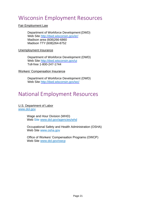# <span id="page-20-0"></span>Wisconsin Employment Resources

Fair Employment Law

Department of Workforce Development (DWD) Web Site<http://dwd.wisconsin.gov/er/> Madison area (608)266-6860 Madison TTY (608)264-8752

Unemployment Insurance

Department of Workforce Development (DWD) Web Site<http://dwd.wisconsin.gov/ui> Toll-free 1-800-247-1744

Workers' Compensation Insurance

Department of Workforce Development (DWD) Web Site<http://dwd.wisconsin.gov/wc/>

# National Employment Resources

U.S. Department of Labor [www.dol.gov](http://www.dol.gov/)

> Wage and Hour Division (WHD) Web Site www.dol.gov/agencies/whd

Occupational Safety and Health Administration (OSHA) Web Site www.osha.gov

Office of Workers' Compensation Programs (OWCP) Web Site www.dol.gov/owcp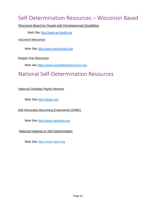# <span id="page-21-0"></span>Self-Determination Resources – Wisconsin Based

Wisconsin Board for People with Developmental Disabilities

Web Site [http://www.wi-bpdd.org](http://www.wi-bpdd.org/)

inControl Wisconsin

Web Site [http://www.incontrolwi.org](http://www.incontrolwi.org/)

People First Wisconsin

Web site https://www.peoplefirstwisconsin.org

# National Self-Determination Resources

National Disability Rights Network

Web Site http:/napas.org

Self-Advocates Becoming Empowered (SABE)

Web Site [http://www.sabeusa.org](http://www.sabeusa.org/)

National Gateway to Self-Determination

Web Site http://www.ngsd.org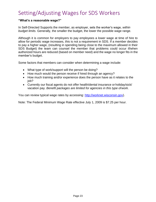# <span id="page-22-0"></span>Setting/Adjusting Wages for SDS Workers

#### **"What's a reasonable wage?"**

In Self-Directed Supports the member, as employer, sets the worker's wage, *within budget limits.* Generally, the smaller the budget, the lower the possible wage range.

Although it is common for employers to pay employees a lower wage at time of hire to allow for periodic wage increases, this is not a requirement in SDS. If a member decides to pay a higher wage, (resulting in spending being close to the maximum allowed in their SDS Budget) the team can counsel the member that problems could occur if/when authorized hours are reduced (based on member need) and the wage no longer fits in the member's budget.

Some factors that members can consider when determining a wage include:

- What type of work/support will the person be doing?
- How much would the person receive if hired through an agency?
- How much training and/or experience does the person have as it relates to the job?
- Currently our fiscal agents do not offer health/dental insurance or holiday/sick/ vacation pay. *Benefit packages are limited for agencies in this type ofwork*.

You can review typical wage rates by accessing: [http://worknet.wisconsin.gov\)](http://worknet.wisconsin.gov/).

Note: The Federal Minimum Wage Rate effective July 1, 2009 is \$7.25 per hour.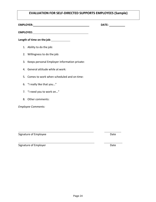#### **EVALUATION FOR SELF-DIRECTED SUPPORTS EMPLOYEES (Sample)**

**EMPLOYER: DATE:**

**Length of time on the job**:

- 1. Ability to do the job:
- 2. Willingness to do the job:
- 3. Keeps personal Employer information private:

**EMPLOYEE:**

- 4. General attitude while at work:
- 5. Comes to work when scheduled and on time:
- 6. "I really like that you…"
- 7. "I need you to work on…"
- 8. Other comments:

*Employee Comments:*

Signature of Employee **Date** Date Date Date

Signature of Employer **Date**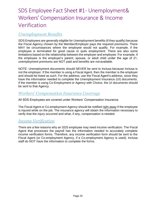# <span id="page-24-0"></span>SDS Employee Fact Sheet #1- Unemployment& Workers' Compensation Insurance & Income Verification

#### <span id="page-24-1"></span>*Unemployment Benefits*

SDS Employees are generally eligible for Unemployment benefits (if they qualify) because the Fiscal Agency chosen by the Member/Employer pays the required premiums. There MAY be circumstances where the employee would not qualify. For example, if the employee is terminated for good cause or quits employment. There are also some limitations based on the relationship between the employer and employee. For example, if the employee is the employer's parent, spouse, or adult child under the age of 21, unemployment premiums are NOT paid and benefits are not available.

NOTE: Unemployment documents should NEVER be sent to Inclusa because Inclusa is not the employer. If the member is using a Fiscal Agent, then the member is the employer and should be listed as such. For the address, use the Fiscal Agent's address, since they have the information needed to complete the Unemployment Insurance (UI) documents. If the member is using Co-Employment or Agency with Choice, the UI documents should be sent to that Agency.

#### <span id="page-24-2"></span>*Workers' Compensation Insurance Coverage*

All SDS Employees are covered under Workers' Compensation Insurance.

The Fiscal Agent or Co-employment Agency should be notified right away if the employee is injured while on the job. The insurance agency will obtain the information necessary to verify that the injury occurred and what, if any, compensation is needed.

#### <span id="page-24-3"></span>*Income Verification*

There are a few reasons why an SDS employee may need income verification. The Fiscal Agent that processes the payroll has the information needed to accurately complete income verification forms. Therefore, any income verification form should be sent to the Fiscal Agent (or Co-employment Agency, if a Co-employment Agency is used). Inclusa staff do NOT have the information to complete the forms.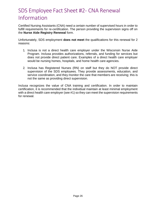# <span id="page-25-0"></span>SDS Employee Fact Sheet #2- CNA Renewal Information

Certified Nursing Assistants (CNA) need a certain number of supervised hours in order to fulfill requirements for re-certification. The person providing the supervision signs off on the **Nurse Aide Registry Renewal** form.

Unfortunately, SDS employment **does not meet** the qualifications for this renewal for 2 reasons:

- 1. Inclusa is not a direct health care employer under the Wisconsin Nurse Aide Program. Inclusa provides authorizations, referrals, and funding for services but does not provide direct patient care. Examples of a direct health care employer would be nursing homes, hospitals, and home health care agencies.
- 2. Inclusa has Registered Nurses (RN) on staff but they do NOT provide direct supervision of the SDS employees. They provide assessments, education, and service coordination, and they monitor the care that members are receiving; this is not the same as providing direct supervision.

Inclusa recognizes the value of CNA training and certification. In order to maintain certification, it is recommended that the individual maintain at least minimal employment with a direct health care employer (see #1) so they can meet the supervision requirements for renewal.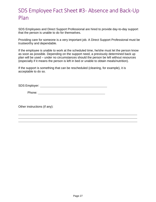# <span id="page-26-0"></span>SDS Employee Fact Sheet #3- Absence and Back-Up Plan

SDS Employees and Direct Support Professional are hired to provide day-to-day support that the person is unable to do for themselves.

Providing care for someone is a very important job. A Direct Support Professional must be trustworthy and dependable.

If the employee is unable to work at the scheduled time, he/she must let the person know as soon as possible. Depending on the support need, a previously determined back up plan will be used – under no circumstances should the person be left without resources (especially if it means the person is left in bed or unable to obtain meals/nutrition).

If the support is something that can be rescheduled (cleaning, for example), it is acceptable to do so.

SDS Employer:

Phone: The contract of the contract of the contract of the contract of the contract of the contract of the contract of the contract of the contract of the contract of the contract of the contract of the contract of the con

Other instructions (if any):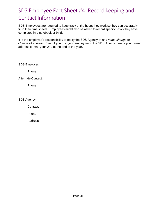# <span id="page-27-0"></span>SDS Employee Fact Sheet #4- Record keeping and Contact Information

SDS Employees are required to keep track of the hours they work so they can accurately fill in their time sheets. Employees might also be asked to record specific tasks they have completed in a notebook or binder.

It is the employee's responsibility to notify the SDS Agency of any *name change* or *change of address*. Even if you quit your employment, the SDS Agency needs your current address to mail your W-2 at the end of the year.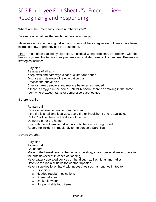# <span id="page-28-0"></span>SDS Employee Fact Sheet #5- Emergencies– Recognizing and Responding

Where are the Emergency phone numbers listed?

Be aware of situations that might put people in danger.

Make sure equipment is in good working order and that caregivers/employees have been instructed how to properly use the equipment.

Fires – most often caused by cigarettes, electrical wiring problems, or problems with the heating system. Inattentive meal preparation could also result in kitchen fires. Prevention strategies include:

Stay alert Be aware of all exits Keep exits and pathways clear of clutter anddebris Discuss and develop a fire evacuation plan Practice the above plan Check smoke detectors and replace batteries as needed. If there is Oxygen in the home – NEVER should there be smoking in the same room where oxygen tanks or compressors are located.

If there is a fire –

Remain calm. Remove vulnerable people from the area. If the fire is small and localized, use a fire extinguisher if one is available. Call 911 – Use the exact address of the fire. Do not re-enter the home. Stay with the vulnerable individuals until the fire is extinguished. Report the incident immediately to the person's Care Team.

#### Severe Weather

Stay alert Remain calm

Go indoors

Move to the lowest level of the home or building, away from windows or doors to the outside (except in cases of flooding).

Have battery operated devices on hand such as flashlights and radios.

Listen to the radio or news for weather updates.

Have a supplies kit on hand with necessities such as, but not limited to:

- o First aid kit
- o Needed regular medications
- o Spare batteries
- o Drinkable water
- o Nonperishable food items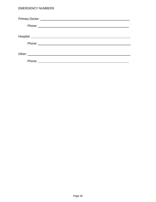#### EMERGENCY NUMBERS

| Phone: |  |  |
|--------|--|--|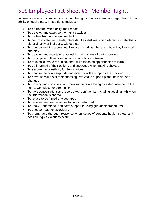# <span id="page-30-0"></span>SDS Employee Fact Sheet #6- Member Rights

Inclusa is strongly committed to ensuring the rights of all its members, regardless of their ability or legal status. These rights include:

- To be treated with dignity and respect
- To develop and exercise their full capacities
- To be free from abuse and neglect
- To communicate their needs, interests, likes, dislikes, and preferences with others, either directly or indirectly, without fear
- To choose and live a personal lifestyle, including where and how they live, work, and play
- To develop and maintain relationships with others of their choosing
- To participate in their community as contributing citizens
- To take risks, make mistakes, and utilize these as opportunities to learn
- To be informed of their options and supported when making choices
- To assume responsibility for their choices
- To choose their own supports and direct how the supports are provided
- To have individuals of their choosing involved in support plans, reviews, and changes
- To privacy and consideration when supports are being provided, whether in the home, workplace, or community
- To have conversations and records kept confidential, including deciding with whom the information is shared
- To refuse to be filmed or videotaped
- To receive reasonable wages for work performed
- To know, understand, and have support in using grievance procedures
- To choose treatment providers
- To prompt and thorough response when issues of personal health, safety, and possible rights violations occur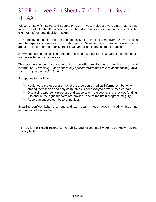# <span id="page-31-0"></span>SDS Employee Fact Sheet #7- Confidentiality and HIPAA

Wisconsin Law (S. 51.30) and Federal HIPAA\* Privacy Rules are very clear – at no time may any protected health information be shared with anyone without prior consent of the client or his/her legal decision-maker.

SDS employees must honor the confidentiality of their clients/employers. *Never* discuss member-specific information in a public place. *Never* engage in social conversations about the person or their family, their health/medical history, status, or habits.

Any written person specific information received must be kept in a safe place and should not be available to anyone else.

The best response if someone asks a question related to a member's personal information: *"I am sorry, I can't share any specific information due to confidentiality laws. I am sure you can understand…"*

Exceptions to the Rule:

- ➢ Health care professionals may share a person's medical information, but only among themselves and only as much as is necessary to provide medical care;
- $\triangleright$  Discussing a person's progress and supports with the agency that provides funding – to ensure the right supports are provided and to maintain program integrity.
- $\triangleright$  Reporting suspected abuse or neglect.

Breaking confidentiality is serious and can result in legal action, including fines and termination of employment.

\*HIPAA is the Health Insurance Portability and Accountability Act, also known as the Privacy Rule.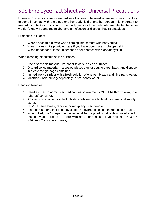# <span id="page-32-0"></span>SDS Employee Fact Sheet #8- Universal Precautions

Universal Precautions are a standard set of actions to be used whenever a person is likely to come in contact with the blood or other body fluid of another person. It is important to treat ALL contact with blood and other body fluids as if the material were infected because we don't know if someone might have an infection or disease that iscontagious.

Protection includes:

- 1. Wear disposable gloves when coming into contact with body fluids;
- 2. Wear gloves while providing care if you have open cuts or chapped skin;
- 3. Wash hands for at least 30 seconds after contact with blood/body fluid.

When cleaning blood/fluid soiled surfaces:

- 1. Use disposable material like paper towels to clean surfaces;
- 2. Discard soiled material in a sealed plastic bag, or double paper bags, and dispose in a covered garbage container;
- 3. Immediately disinfect with a fresh solution of one part bleach and nine parts water;
- 4. Machine wash laundry separately in hot, soapy water.

Handling Needles:

- 1. Needles used to administer medications or treatments MUST be thrown away in a "sharps" container;
- 2. A "sharps" container is a thick plastic container available at most medical supply stores.
- 3. NEVER bend, break, remove, or recap any used needle.
- 4. If a "sharps" container is not available, a covered glass container could be used.
- *5.* When filled, the "sharps" container must be dropped off at a designated site for medical waste products. Check with area pharmacies or your client's *Health & Wellness Coordinator (nurse).*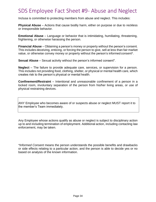# <span id="page-33-0"></span>SDS Employee Fact Sheet #9- Abuse and Neglect

Inclusa is committed to protecting members from abuse and neglect. This includes:

**Physical Abuse** – Actions that cause bodily harm, either on purpose or due to reckless or irresponsible behavior.

**Emotional Abuse** – Language or behavior that is intimidating, humiliating, threatening, frightening, or otherwise harassing the person.

**Financial Abuse** – Obtaining a person's money or property without the person's consent. This includes deceiving, enticing, or forcing the person to give, sell at less than fair market value, or otherwise convey money or property without the person's informed consent\*.

**Sexual Abuse** – Sexual activity without the person's informed consent<sup>\*</sup>.

**Neglect** – The failure to provide adequate care, services, or supervision for a person. This includes not providing food, clothing, shelter, or physical or mental health care, which creates risk to the person's physical or mental health.

**Confinement/Restraint** – Intentional and unreasonable confinement of a person in a locked room, involuntary separation of the person from his/her living areas, or use of physical restraining devices.

ANY Employee who becomes aware of or suspects abuse or neglect MUST report it to the member's Team immediately.

Any Employee whose actions qualify as abuse or neglect is subject to disciplinary action up to and including termination of employment. Additional action, including contacting law enforcement, may be taken.

*\*Informed Consent* means the person understands the possible benefits and drawbacks or side effects relating to a particular action, and the person is able to decide yes or no based on analysis of the known information.